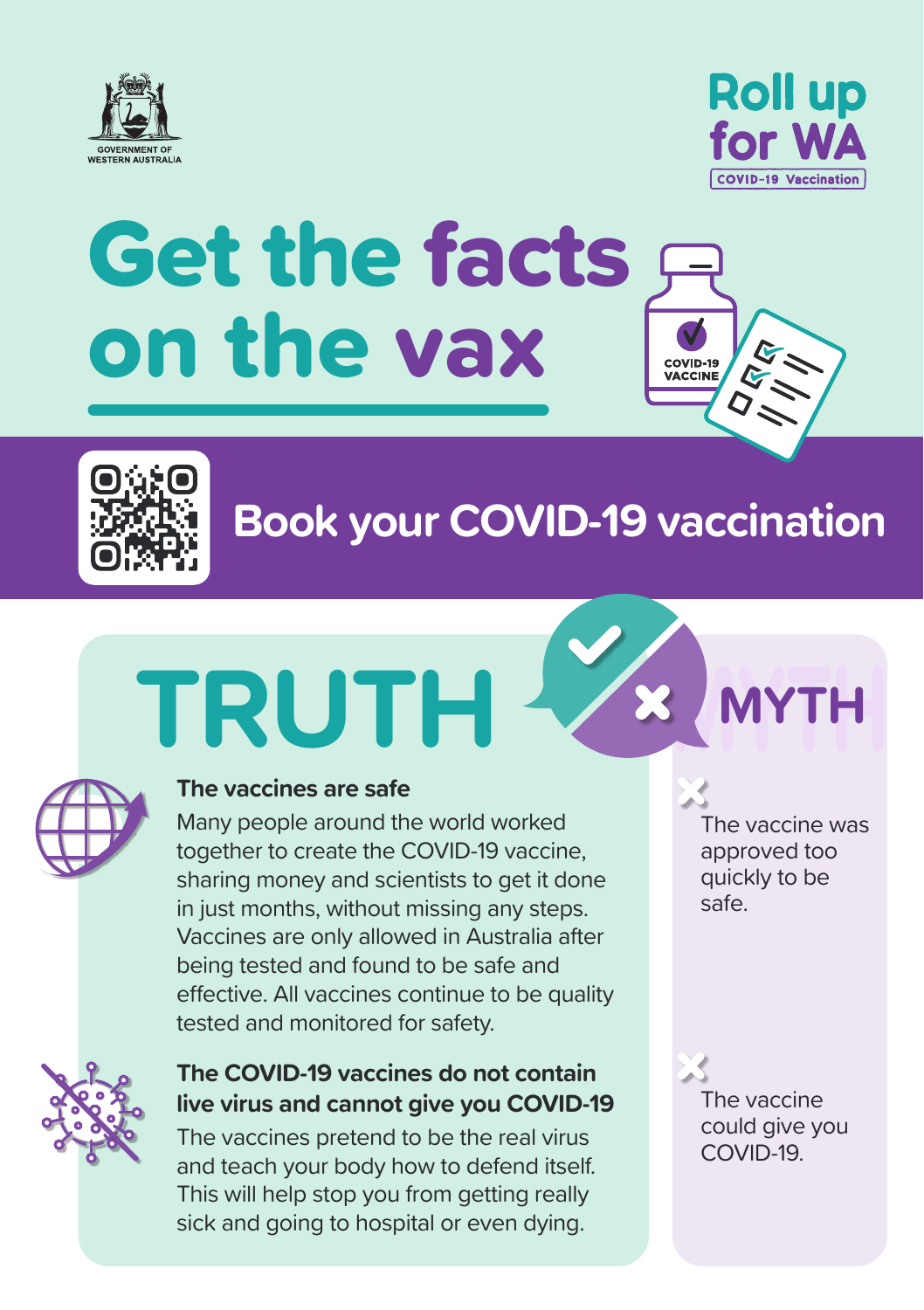



### Get the facts on the vax COVID-19<br>VACCINE



### **Book your COVID-19 vaccination**

## **MYTH TRUTH MYTH**



#### **The vaccines are safe**

Many people around the world worked together to create the COVID-19 vaccine, sharing money and scientists to get it done in just months, without missing any steps. Vaccines are only allowed in Australia after being tested and found to be safe and effective. All vaccines continue to be quality tested and monitored for safety.

#### **The COVID-19 vaccines do not contain live virus and cannot give you COVID-19**

The vaccines pretend to be the real virus and teach your body how to defend itself. This will help stop you from getting really sick and going to hospital or even dying.

The vaccine was approved too quickly to be safe.

The vaccine could give you COVID-19.